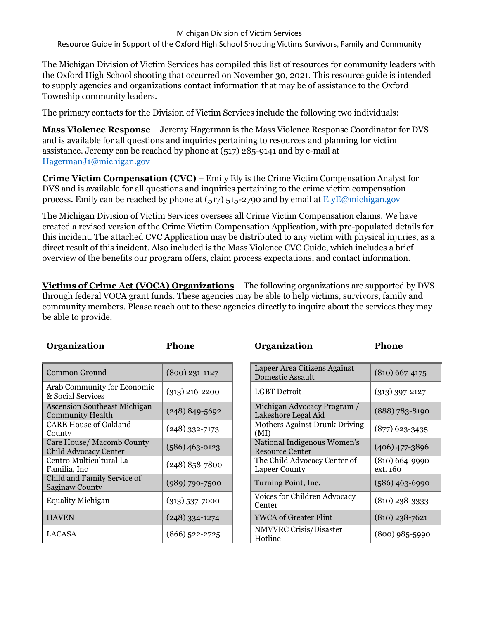Michigan Division of Victim Services

Resource Guide in Support of the Oxford High School Shooting Victims Survivors, Family and Community

The Michigan Division of Victim Services has compiled this list of resources for community leaders with the Oxford High School shooting that occurred on November 30, 2021. This resource guide is intended to supply agencies and organizations contact information that may be of assistance to the Oxford Township community leaders.

The primary contacts for the Division of Victim Services include the following two individuals:

**Mass Violence Response** – Jeremy Hagerman is the Mass Violence Response Coordinator for DVS and is available for all questions and inquiries pertaining to resources and planning for victim assistance. Jeremy can be reached by phone at (517) 285-9141 and by e-mail at [HagermanJ1@michigan.gov](mailto:HagermanJ1@michigan.gov)

**Crime Victim Compensation (CVC)** – Emily Ely is the Crime Victim Compensation Analyst for DVS and is available for all questions and inquiries pertaining to the crime victim compensation process. Emily can be reached by phone at (517) 515-2790 and by email at [ElyE@michigan.gov](mailto:ElyE@michigan.gov)

The Michigan Division of Victim Services oversees all Crime Victim Compensation claims. We have created a revised version of the Crime Victim Compensation Application, with pre-populated details for this incident. The attached CVC Application may be distributed to any victim with physical injuries, as a direct result of this incident. Also included is the Mass Violence CVC Guide, which includes a brief overview of the benefits our program offers, claim process expectations, and contact information.

**Victims of Crime Act (VOCA) Organizations** – The following organizations are supported by DVS through federal VOCA grant funds. These agencies may be able to help victims, survivors, family and community members. Please reach out to these agencies directly to inquire about the services they may be able to provide.

| Organization                                                   | Phone              | Organization                                            | <b>Phone</b>                 |
|----------------------------------------------------------------|--------------------|---------------------------------------------------------|------------------------------|
| Common Ground                                                  | $(800)$ 231-1127   | Lapeer Area Citizens Against<br><b>Domestic Assault</b> | $(810) 667 - 4175$           |
| Arab Community for Economic<br>& Social Services               | $(313)$ 216-2200   | <b>LGBT</b> Detroit                                     | $(313)$ 397-2127             |
| <b>Ascension Southeast Michigan</b><br><b>Community Health</b> | $(248) 849 - 5692$ | Michigan Advocacy Program /<br>Lakeshore Legal Aid      | $(888) 783 - 8190$           |
| <b>CARE House of Oakland</b><br>County                         | $(248)$ 332-7173   | Mothers Against Drunk Driving<br>(MI)                   | $(877)$ 623-3435             |
| Care House/ Macomb County<br><b>Child Advocacy Center</b>      | $(586)$ 463-0123   | National Indigenous Women's<br><b>Resource Center</b>   | $(406)$ 477-3896             |
| Centro Multicultural La<br>Familia, Inc                        | $(248)$ 858-7800   | The Child Advocacy Center of<br><b>Lapeer County</b>    | $(810)$ 664-9990<br>ext. 160 |
| Child and Family Service of<br><b>Saginaw County</b>           | $(989)$ 790-7500   | Turning Point, Inc.                                     | $(586)$ 463-6990             |
| <b>Equality Michigan</b>                                       | $(313)$ 537-7000   | Voices for Children Advocacy<br>Center                  | $(810)$ 238-3333             |
| <b>HAVEN</b>                                                   | $(248)$ 334-1274   | <b>YWCA of Greater Flint</b>                            | $(810)$ 238-7621             |
| LACASA                                                         | $(866)$ 522-2725   | NMVVRC Crisis/Disaster<br>Hotline                       | $(800)$ 985-5990             |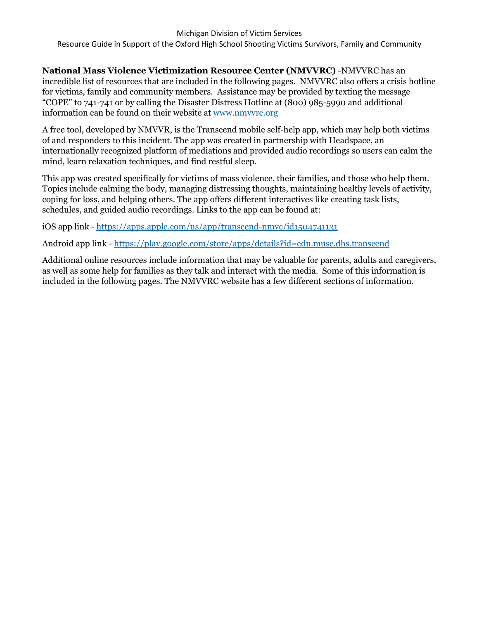**National Mass Violence Victimization Resource Center (NMVVRC)** -NMVVRC has an incredible list of resources that are included in the following pages. NMVVRC also offers a crisis hotline for victims, family and community members. Assistance may be provided by texting the message "COPE" to 741-741 or by calling the Disaster Distress Hotline at (800) 985-5990 and additional information can be found on their website at [www.nmvvrc.org](http://www.nmvvrc.org/)

A free tool, developed by NMVVR, is the Transcend mobile self-help app, which may help both victims of and responders to this incident. The app was created in partnership with Headspace, an internationally recognized platform of mediations and provided audio recordings so users can calm the mind, learn relaxation techniques, and find restful sleep.

This app was created specifically for victims of mass violence, their families, and those who help them. Topics include calming the body, managing distressing thoughts, maintaining healthy levels of activity, coping for loss, and helping others. The app offers different interactives like creating task lists, schedules, and guided audio recordings. Links to the app can be found at:

iOS app link - <https://apps.apple.com/us/app/transcend-nmvc/id1504741131>

Android app link - <https://play.google.com/store/apps/details?id=edu.musc.dhs.transcend>

Additional online resources include information that may be valuable for parents, adults and caregivers, as well as some help for families as they talk and interact with the media. Some of this information is included in the following pages. The NMVVRC website has a few different sections of information.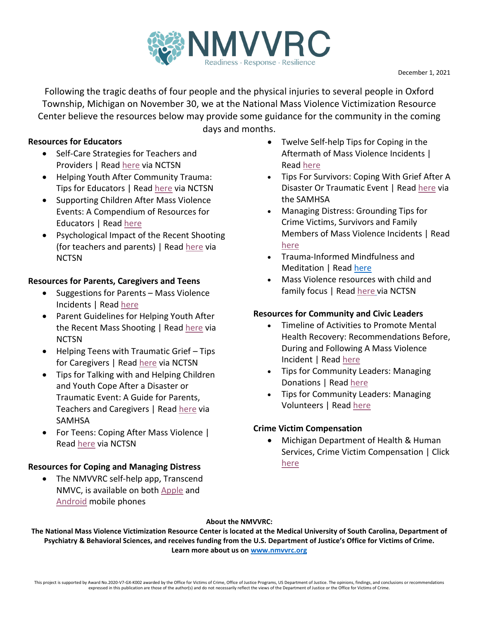

Following the tragic deaths of four people and the physical injuries to several people in Oxford Township, Michigan on November 30, we at the National Mass Violence Victimization Resource Center believe the resources below may provide some guidance for the community in the coming

## **Resources for Educators**

- Self-Care Strategies for Teachers and Providers | Read [here](https://www.nmvvrc.org/media/beaacpiv/self-care-strategies-for-teachers-and-providers.pdf) via NCTSN
- Helping Youth After Community Trauma: Tips for Educators | Read [here](https://www.nmvvrc.org/media/hejnkpwb/helping_youth_after_community_trauma_educators.pdf) via NCTSN
- Supporting Children After Mass Violence Events: A Compendium of Resources for Educators | Rea[d here](https://www.nmvvrc.org/media/k1xp32ev/supporting-children-after-mass-violence-events-resources-for-educators.pdf)
- Psychological Impact of the Recent Shooting (for teachers and parents) | Read [here](https://www.nmvvrc.org/media/hwpdx0sd/nctsn-psychologicalimpactshooting.pdf) via **NCTSN**

## **Resources for Parents, Caregivers and Teens**

- Suggestions for Parents Mass Violence Incidents | Read [here](https://www.nmvvrc.org/media/0f4p4efn/tipsheet18.pdf)
- Parent Guidelines for Helping Youth After the Recent Mass Shooting | Read [here](https://www.nmvvrc.org/media/3tmbuhke/parents_guidelines_for_helping_youth_after_the_recent_shooting.pdf) via **NCTSN**
- Helping Teens with Traumatic Grief Tips for Caregivers | Read [here](https://www.nmvvrc.org/media/wsyfq22u/nctsn-teenstraumaticgrief-tipscaregivers.pdf) via NCTSN
- Tips for Talking with and Helping Children and Youth Cope After a Disaster or Traumatic Event: A Guide for Parents, Teachers and Caregivers | Rea[d here](https://www.nmvvrc.org/media/lukaea2v/tips-for-talking-with-and-helping-children-and-youth-cope-after-a-diaster-or-traumatic-event.pdf) via SAMHSA
- For Teens: Coping After Mass Violence Read [here](https://www.nctsn.org/print/1957) via NCTSN

## **Resources for Coping and Managing Distress**

• The NMVVRC self-help app, Transcend NMVC, is available on both [Apple](https://apps.apple.com/us/app/transcend-nmvc/id1504741131) and [Android](https://play.google.com/store/apps/details?id=edu.musc.dhs.transcend) mobile phones

days and months.

- Twelve Self-help Tips for Coping in the Aftermath of Mass Violence Incidents | Read [here](https://www.nmvvrc.org/media/rucl1xdd/twelve-self-help-tips-for-coping-general.pdf)
- Tips For Survivors: Coping With Grief After A Disaster Or Traumatic Event | Read [here](http://nmvvrc.org/media/xkujuyuk/tips-for-survivors-coping-with-grief-after-a-diaster-or-truamtic-event.pdf) via the SAMHSA
- Managing Distress: Grounding Tips for Crime Victims, Survivors and Family Members of Mass Violence Incidents | Read [here](https://www.nmvvrc.org/media/jfwft1sj/managing-distress-a-guide-for-victims-survivors-and-families-of-mass-violence-events-1.pdf)
- Trauma-Informed Mindfulness and Meditation | Rea[d here](https://www.nmvvrc.org/media/2kxgqipf/trauma-sensitive-mindfulness-and-meditation.pdf)
- Mass Violence resources with child and family focus | Read [here](https://www.nctsn.org/what-is-child-trauma/trauma-types/terrorism-and-violence/mass-violence) via NCTSN

## **Resources for Community and Civic Leaders**

- Timeline of Activities to Promote Mental Health Recovery: Recommendations Before, During and Following A Mass Violence Incident | Read [here](http://nmvvrc.org/media/1jlfjdl1/tipsheet26.pdf)
- Tips for Community Leaders: Managing Donations | Read [here](https://www.nmvvrc.org/media/kpjbjmyd/tipsheet22.pdf)
- Tips for Community Leaders: Managing Volunteers | Read [here](https://www.nmvvrc.org/media/ldhb4jdo/tipsheet23.pdf)

## **Crime Victim Compensation**

• Michigan Department of Health & Human Services, Crime Victim Compensation | Click [here](https://www.michigan.gov/mdhhs/0,5885,7-339-71548_54783_54853_54855---,00.html)

## **About the NMVVRC:**

**The National Mass Violence Victimization Resource Center is located at the Medical University of South Carolina, Department of Psychiatry & Behavioral Sciences, and receives funding from the U.S. Department of Justice's Office for Victims of Crime. Learn more about us o[n www.nmvvrc.org](http://www.nmvvrc.org/)**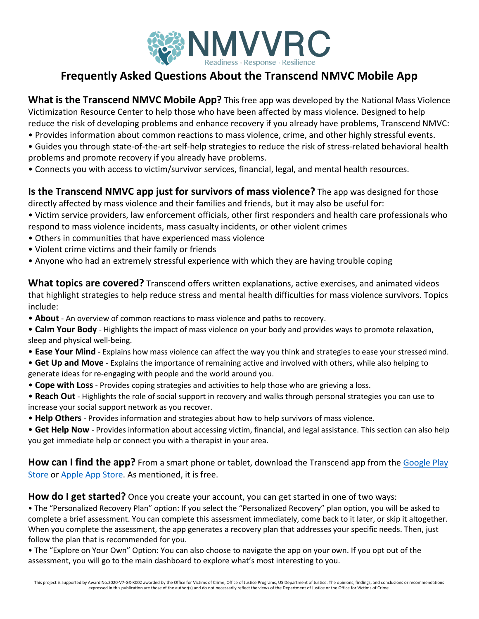

# **Frequently Asked Questions About the Transcend NMVC Mobile App**

**What is the Transcend NMVC Mobile App?** This free app was developed by the National Mass Violence Victimization Resource Center to help those who have been affected by mass violence. Designed to help reduce the risk of developing problems and enhance recovery if you already have problems, Transcend NMVC:

- Provides information about common reactions to mass violence, crime, and other highly stressful events.
- Guides you through state-of-the-art self-help strategies to reduce the risk of stress-related behavioral health problems and promote recovery if you already have problems.
- Connects you with access to victim/survivor services, financial, legal, and mental health resources.

**Is the Transcend NMVC app just for survivors of mass violence?** The app was designed for those directly affected by mass violence and their families and friends, but it may also be useful for:

- Victim service providers, law enforcement officials, other first responders and health care professionals who respond to mass violence incidents, mass casualty incidents, or other violent crimes
- Others in communities that have experienced mass violence
- Violent crime victims and their family or friends
- Anyone who had an extremely stressful experience with which they are having trouble coping

**What topics are covered?** Transcend offers written explanations, active exercises, and animated videos that highlight strategies to help reduce stress and mental health difficulties for mass violence survivors. Topics include:

- **About** An overview of common reactions to mass violence and paths to recovery.
- **Calm Your Body** Highlights the impact of mass violence on your body and provides ways to promote relaxation, sleep and physical well-being.
- **Ease Your Mind** Explains how mass violence can affect the way you think and strategies to ease your stressed mind.
- **Get Up and Move** Explains the importance of remaining active and involved with others, while also helping to generate ideas for re-engaging with people and the world around you.
- **Cope with Loss** Provides coping strategies and activities to help those who are grieving a loss.
- **Reach Out** Highlights the role of social support in recovery and walks through personal strategies you can use to increase your social support network as you recover.
- **Help Others** Provides information and strategies about how to help survivors of mass violence.
- **Get Help Now** Provides information about accessing victim, financial, and legal assistance. This section can also help you get immediate help or connect you with a therapist in your area.

How can I find the app? From a smart phone or tablet, download the Transcend app from the Google Play [Store](https://play.google.com/store/apps/details?id=edu.musc.dhs.transcend) or [Apple App Store.](https://apps.apple.com/us/app/transcend-nmvc/id1504741131) As mentioned, it is free.

**How do I get started?** Once you create your account, you can get started in one of two ways:

• The "Personalized Recovery Plan" option: If you select the "Personalized Recovery" plan option, you will be asked to complete a brief assessment. You can complete this assessment immediately, come back to it later, or skip it altogether. When you complete the assessment, the app generates a recovery plan that addresses your specific needs. Then, just follow the plan that is recommended for you.

• The "Explore on Your Own" Option: You can also choose to navigate the app on your own. If you opt out of the assessment, you will go to the main dashboard to explore what's most interesting to you.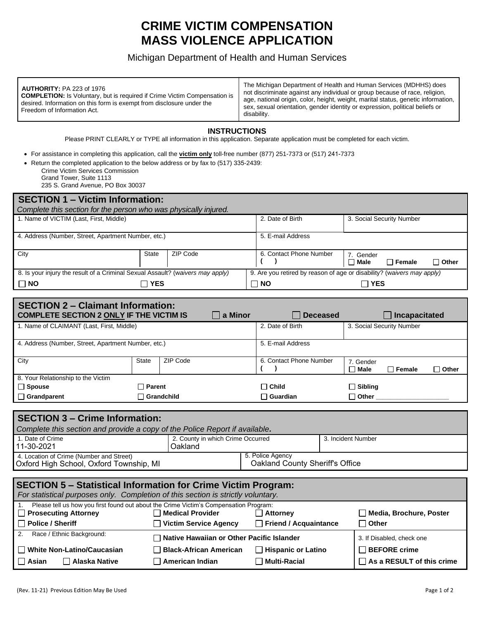# **CRIME VICTIM COMPENSATION MASS VIOLENCE APPLICATION**

## Michigan Department of Health and Human Services

| <b>AUTHORITY: PA 223 of 1976</b><br><b>COMPLETION:</b> Is Voluntary, but is required if Crime Victim Compensation is<br>desired. Information on this form is exempt from disclosure under the<br>Freedom of Information Act. | The Michigan Department of Health and Human Services (MDHHS) does<br>not discriminate against any individual or group because of race, religion,<br>age, national origin, color, height, weight, marital status, genetic information,<br>sex, sexual orientation, gender identity or expression, political beliefs or<br>disability. |
|------------------------------------------------------------------------------------------------------------------------------------------------------------------------------------------------------------------------------|--------------------------------------------------------------------------------------------------------------------------------------------------------------------------------------------------------------------------------------------------------------------------------------------------------------------------------------|
|------------------------------------------------------------------------------------------------------------------------------------------------------------------------------------------------------------------------------|--------------------------------------------------------------------------------------------------------------------------------------------------------------------------------------------------------------------------------------------------------------------------------------------------------------------------------------|

#### **INSTRUCTIONS**

Please PRINT CLEARLY or TYPE all information in this application. Separate application must be completed for each victim.

• For assistance in completing this application, call the **victim only** toll-free number (877) 251-7373 or (517) 241-7373

- Return the completed application to the below address or by fax to (517) 335-2439:
	- Crime Victim Services Commission

Grand Tower, Suite 1113 235 S. Grand Avenue, PO Box 30037

|   |  |   | Loo of Orana Avonao, Po Box 00007 |  |  |  |
|---|--|---|-----------------------------------|--|--|--|
| . |  | . |                                   |  |  |  |

| $\sf{SEC}$ HON $\sf{T}$ – victim information:                                  |              |          |                                                                        |                         |             |                           |              |
|--------------------------------------------------------------------------------|--------------|----------|------------------------------------------------------------------------|-------------------------|-------------|---------------------------|--------------|
| Complete this section for the person who was physically injured.               |              |          |                                                                        |                         |             |                           |              |
| 1. Name of VICTIM (Last, First, Middle)                                        |              |          |                                                                        | 2. Date of Birth        |             | 3. Social Security Number |              |
|                                                                                |              |          |                                                                        |                         |             |                           |              |
| 4. Address (Number, Street, Apartment Number, etc.)                            |              |          | 5. E-mail Address                                                      |                         |             |                           |              |
|                                                                                |              |          |                                                                        |                         |             |                           |              |
| City                                                                           | <b>State</b> | ZIP Code |                                                                        | 6. Contact Phone Number | 7. Gender   |                           |              |
|                                                                                |              |          |                                                                        |                         | $\Box$ Male | $\sqcap$ Female           | $\Box$ Other |
| 8. Is your injury the result of a Criminal Sexual Assault? (waivers may apply) |              |          | 9. Are you retired by reason of age or disability? (waivers may apply) |                         |             |                           |              |
| $\Box$ NO                                                                      | <b>YES</b>   |          | $\Box$ NO                                                              |                         | ∏ YES       |                           |              |
|                                                                                |              |          |                                                                        |                         |             |                           |              |

| <b>SECTION 2 – Claimant Information:</b><br><b>COMPLETE SECTION 2 ONLY IF THE VICTIM IS</b> |               |                 | <b>Deceased</b>   | Incapacitated             |                                                             |  |
|---------------------------------------------------------------------------------------------|---------------|-----------------|-------------------|---------------------------|-------------------------------------------------------------|--|
| 1. Name of CLAIMANT (Last, First, Middle)                                                   |               |                 | 2. Date of Birth  | 3. Social Security Number |                                                             |  |
| 4. Address (Number, Street, Apartment Number, etc.)                                         |               |                 | 5. E-mail Address |                           |                                                             |  |
| City                                                                                        | State         | ZIP Code        |                   | 6. Contact Phone Number   | 7. Gender<br>$\Box$ Male<br>$\sqcap$ Female<br>$\Box$ Other |  |
| 8. Your Relationship to the Victim                                                          |               |                 |                   |                           |                                                             |  |
| $\Box$ Spouse                                                                               | $\Box$ Parent |                 | $\Box$ Child      | $\Box$ Sibling            |                                                             |  |
| $\Box$ Grandparent<br>$\sqcap$ Grandchild                                                   |               | $\Box$ Guardian | $\Box$ Other      |                           |                                                             |  |

| <b>SECTION 3 – Crime Information:</b><br>Complete this section and provide a copy of the Police Report if available.                                     |                                              |                                                     |                           |  |  |  |  |
|----------------------------------------------------------------------------------------------------------------------------------------------------------|----------------------------------------------|-----------------------------------------------------|---------------------------|--|--|--|--|
| 1. Date of Crime<br>11-30-2021                                                                                                                           | 2. County in which Crime Occurred<br>Oakland |                                                     | 3. Incident Number        |  |  |  |  |
| 4. Location of Crime (Number and Street)<br>Oxford High School, Oxford Township, MI                                                                      |                                              | 5. Police Agency<br>Oakland County Sheriff's Office |                           |  |  |  |  |
|                                                                                                                                                          |                                              |                                                     |                           |  |  |  |  |
| <b>SECTION 5 - Statistical Information for Crime Victim Program:</b><br>For statistical purposes only. Completion of this section is strictly voluntary. |                                              |                                                     |                           |  |  |  |  |
| Please tell us how you first found out about the Crime Victim's Compensation Program:<br>$\Box$ Prosecuting Attorney                                     | $\Box$ Medical Provider                      | $\Box$ Attorney                                     | □ Media, Brochure, Poster |  |  |  |  |
| $\Box$ Police / Sheriff                                                                                                                                  | <b>Victim Service Agency</b>                 | $\Box$ Friend / Acquaintance                        | $\Box$ Other              |  |  |  |  |
| 2.<br>Race / Ethnic Background:                                                                                                                          | Native Hawaiian or Other Pacific Islander    |                                                     | 3. If Disabled, check one |  |  |  |  |

**Asian Alaska Native American Indian Multi-Racial As a RESULT of this crime**

**White Non-Latino/Caucasian Black-African American Hispanic or Latino BEFORE crime**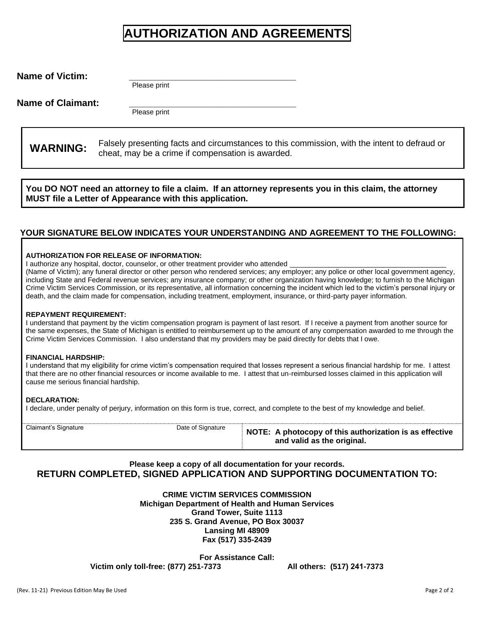# **AUTHORIZATION AND AGREEMENTS**

| <b>Name of Victim:</b>   | Please print                                                                                 |  |
|--------------------------|----------------------------------------------------------------------------------------------|--|
| <b>Name of Claimant:</b> | Please print                                                                                 |  |
| <b>WARNING:</b>          | Falsely presenting facts and circumstances to this commission, with the intent to defraud or |  |

cheat, may be a crime if compensation is awarded.

**You DO NOT need an attorney to file a claim. If an attorney represents you in this claim, the attorney MUST file a Letter of Appearance with this application.** 

### **YOUR SIGNATURE BELOW INDICATES YOUR UNDERSTANDING AND AGREEMENT TO THE FOLLOWING:**

#### **AUTHORIZATION FOR RELEASE OF INFORMATION:**

I authorize any hospital, doctor, counselor, or other treatment provider who attended

(Name of Victim); any funeral director or other person who rendered services; any employer; any police or other local government agency, including State and Federal revenue services; any insurance company; or other organization having knowledge; to furnish to the Michigan Crime Victim Services Commission, or its representative, all information concerning the incident which led to the victim's personal injury or death, and the claim made for compensation, including treatment, employment, insurance, or third-party payer information.

#### **REPAYMENT REQUIREMENT:**

I understand that payment by the victim compensation program is payment of last resort. If I receive a payment from another source for the same expenses, the State of Michigan is entitled to reimbursement up to the amount of any compensation awarded to me through the Crime Victim Services Commission. I also understand that my providers may be paid directly for debts that I owe.

#### **FINANCIAL HARDSHIP:**

I understand that my eligibility for crime victim's compensation required that losses represent a serious financial hardship for me. I attest that there are no other financial resources or income available to me. I attest that un-reimbursed losses claimed in this application will cause me serious financial hardship.

#### **DECLARATION:**

I declare, under penalty of perjury, information on this form is true, correct, and complete to the best of my knowledge and belief.

| Claimant's Signature | Date of Signature | NOTE: A photocopy of this authorization is as effective<br>and valid as the original. |
|----------------------|-------------------|---------------------------------------------------------------------------------------|
|                      |                   |                                                                                       |

### **Please keep a copy of all documentation for your records. RETURN COMPLETED, SIGNED APPLICATION AND SUPPORTING DOCUMENTATION TO:**

**CRIME VICTIM SERVICES COMMISSION Michigan Department of Health and Human Services Grand Tower, Suite 1113 235 S. Grand Avenue, PO Box 30037 Lansing MI 48909 Fax (517) 335-2439** 

**For Assistance Call: Victim only toll-free: (877) 251-7373 All others: (517) 241-7373**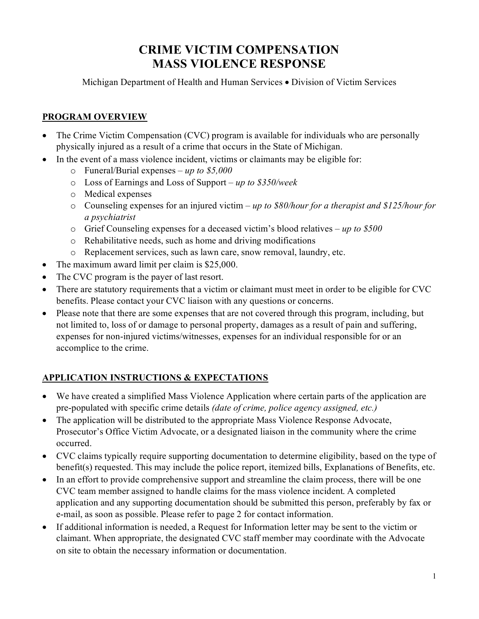# **CRIME VICTIM COMPENSATION MASS VIOLENCE RESPONSE**

Michigan Department of Health and Human Services • Division of Victim Services

# **PROGRAM OVERVIEW**

- The Crime Victim Compensation (CVC) program is available for individuals who are personally physically injured as a result of a crime that occurs in the State of Michigan.
- In the event of a mass violence incident, victims or claimants may be eligible for:
	- o Funeral/Burial expenses *up to \$5,000*
	- o Loss of Earnings and Loss of Support *up to \$350/week*
	- o Medical expenses
	- o Counseling expenses for an injured victim *up to \$80/hour for a therapist and \$125/hour for a psychiatrist*
	- o Grief Counseling expenses for a deceased victim's blood relatives *up to \$500*
	- o Rehabilitative needs, such as home and driving modifications
	- o Replacement services, such as lawn care, snow removal, laundry, etc.
- The maximum award limit per claim is \$25,000.
- The CVC program is the payer of last resort.
- There are statutory requirements that a victim or claimant must meet in order to be eligible for CVC benefits. Please contact your CVC liaison with any questions or concerns.
- Please note that there are some expenses that are not covered through this program, including, but not limited to, loss of or damage to personal property, damages as a result of pain and suffering, expenses for non-injured victims/witnesses, expenses for an individual responsible for or an accomplice to the crime.

# **APPLICATION INSTRUCTIONS & EXPECTATIONS**

- We have created a simplified Mass Violence Application where certain parts of the application are pre-populated with specific crime details *(date of crime, police agency assigned, etc.)*
- The application will be distributed to the appropriate Mass Violence Response Advocate, Prosecutor's Office Victim Advocate, or a designated liaison in the community where the crime occurred.
- CVC claims typically require supporting documentation to determine eligibility, based on the type of benefit(s) requested. This may include the police report, itemized bills, Explanations of Benefits, etc.
- In an effort to provide comprehensive support and streamline the claim process, there will be one CVC team member assigned to handle claims for the mass violence incident. A completed application and any supporting documentation should be submitted this person, preferably by fax or e-mail, as soon as possible. Please refer to page 2 for contact information.
- If additional information is needed, a Request for Information letter may be sent to the victim or claimant. When appropriate, the designated CVC staff member may coordinate with the Advocate on site to obtain the necessary information or documentation.